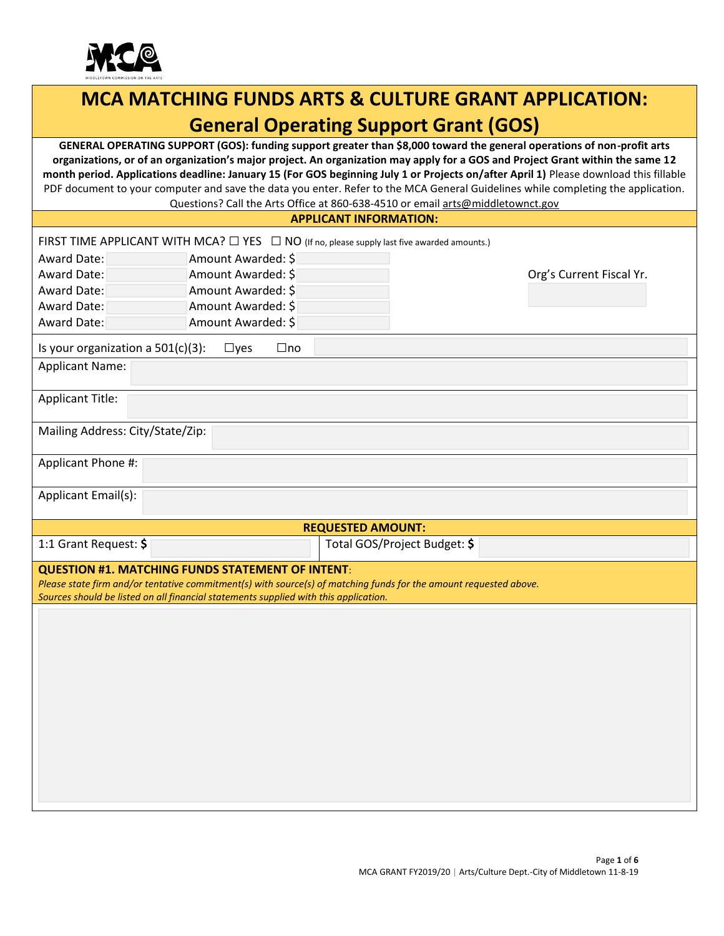

# **MCA MATCHING FUNDS ARTS & CULTURE GRANT APPLICATION: General Operating Support Grant (GOS)**

**GENERAL OPERATING SUPPORT (GOS): funding support greater than \$8,000 toward the general operations of non-profit arts organizations, or of an organization's major project. An organization may apply for a GOS and Project Grant within the same 12 month period. Applications deadline: January 15 (For GOS beginning July 1 or Projects on/after April 1)** Please download this fillable PDF document to your computer and save the data you enter. Refer to the MCA General Guidelines while completing the application. Questions? Call the Arts Office at 860-638-4510 or emai[l arts@middletownct.gov](mailto:arts@middletownct.gov)

#### **APPLICANT INFORMATION:**

| Award Date:<br><b>Award Date:</b><br><b>Award Date:</b><br>Award Date:<br><b>Award Date:</b>                                                                                                                                                                         | Amount Awarded: \$<br>Amount Awarded: \$<br>Amount Awarded: \$<br>Amount Awarded: \$<br>Amount Awarded: \$ | FIRST TIME APPLICANT WITH MCA? $\square$ YES $\square$ NO (If no, please supply last five awarded amounts.) | Org's Current Fiscal Yr. |  |
|----------------------------------------------------------------------------------------------------------------------------------------------------------------------------------------------------------------------------------------------------------------------|------------------------------------------------------------------------------------------------------------|-------------------------------------------------------------------------------------------------------------|--------------------------|--|
| Is your organization a $501(c)(3)$ :                                                                                                                                                                                                                                 | $\Box$ yes<br>$\Box$ no                                                                                    |                                                                                                             |                          |  |
| <b>Applicant Name:</b>                                                                                                                                                                                                                                               |                                                                                                            |                                                                                                             |                          |  |
| <b>Applicant Title:</b>                                                                                                                                                                                                                                              |                                                                                                            |                                                                                                             |                          |  |
| Mailing Address: City/State/Zip:                                                                                                                                                                                                                                     |                                                                                                            |                                                                                                             |                          |  |
| Applicant Phone #:                                                                                                                                                                                                                                                   |                                                                                                            |                                                                                                             |                          |  |
| Applicant Email(s):                                                                                                                                                                                                                                                  |                                                                                                            |                                                                                                             |                          |  |
|                                                                                                                                                                                                                                                                      |                                                                                                            | <b>REQUESTED AMOUNT:</b>                                                                                    |                          |  |
| 1:1 Grant Request: \$                                                                                                                                                                                                                                                |                                                                                                            | Total GOS/Project Budget: \$                                                                                |                          |  |
| <b>QUESTION #1. MATCHING FUNDS STATEMENT OF INTENT:</b><br>Please state firm and/or tentative commitment(s) with source(s) of matching funds for the amount requested above.<br>Sources should be listed on all financial statements supplied with this application. |                                                                                                            |                                                                                                             |                          |  |
|                                                                                                                                                                                                                                                                      |                                                                                                            |                                                                                                             |                          |  |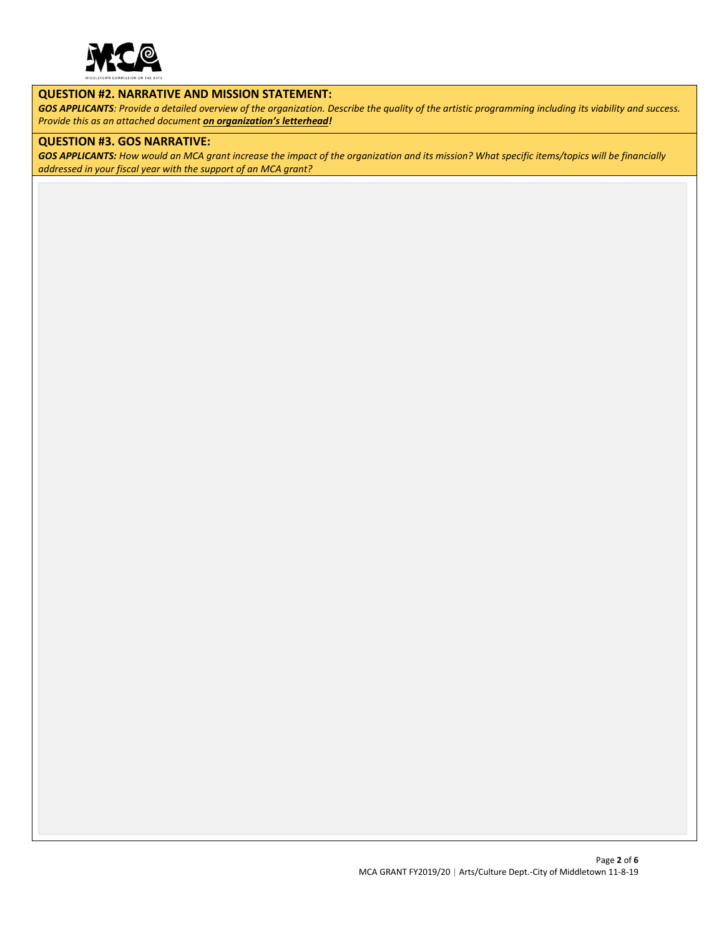

# **QUESTION #2. NARRATIVE AND MISSION STATEMENT:**

*GOS APPLICANTS: Provide a detailed overview of the organization. Describe the quality of the artistic programming including its viability and success. Provide this as an attached document on organization's letterhead!*

# **QUESTION #3. GOS NARRATIVE:**

*GOS APPLICANTS: How would an MCA grant increase the impact of the organization and its mission? What specific items/topics will be financially addressed in your fiscal year with the support of an MCA grant?*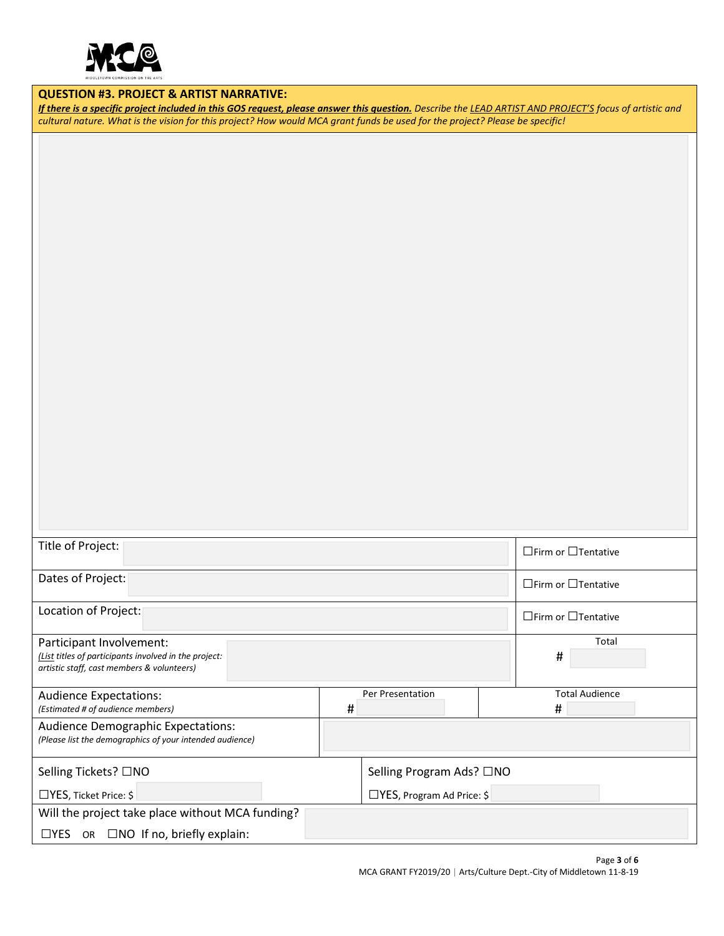

| <b>QUESTION #3. PROJECT &amp; ARTIST NARRATIVE:</b> |  |  |
|-----------------------------------------------------|--|--|
|-----------------------------------------------------|--|--|

*If there is a specific project included in this GOS request, please answer this question. Describe the LEAD ARTIST AND PROJECT'S focus of artistic and cultural nature. What is the vision for this project? How would MCA grant funds be used for the project? Please be specific!*

| Title of Project:                                                                                                               |                       |                                  |                                 | $\Box$ Firm or $\Box$ Tentative |
|---------------------------------------------------------------------------------------------------------------------------------|-----------------------|----------------------------------|---------------------------------|---------------------------------|
| Dates of Project:                                                                                                               |                       |                                  | $\Box$ Firm or $\Box$ Tentative |                                 |
| Location of Project:                                                                                                            |                       |                                  | $\Box$ Firm or $\Box$ Tentative |                                 |
| Participant Involvement:<br>(List titles of participants involved in the project:<br>artistic staff, cast members & volunteers) |                       |                                  | Total<br>#                      |                                 |
| <b>Audience Expectations:</b><br>(Estimated # of audience members)                                                              | Per Presentation<br># |                                  |                                 | <b>Total Audience</b><br>#      |
| <b>Audience Demographic Expectations:</b><br>(Please list the demographics of your intended audience)                           |                       |                                  |                                 |                                 |
| Selling Tickets? □NO                                                                                                            |                       | Selling Program Ads? □NO         |                                 |                                 |
| $\Box$ YES, Ticket Price: \$                                                                                                    |                       | $\Box$ YES, Program Ad Price: \$ |                                 |                                 |
| Will the project take place without MCA funding?                                                                                |                       |                                  |                                 |                                 |
| OR $\Box$ NO If no, briefly explain:<br>$\Box$ YES                                                                              |                       |                                  |                                 |                                 |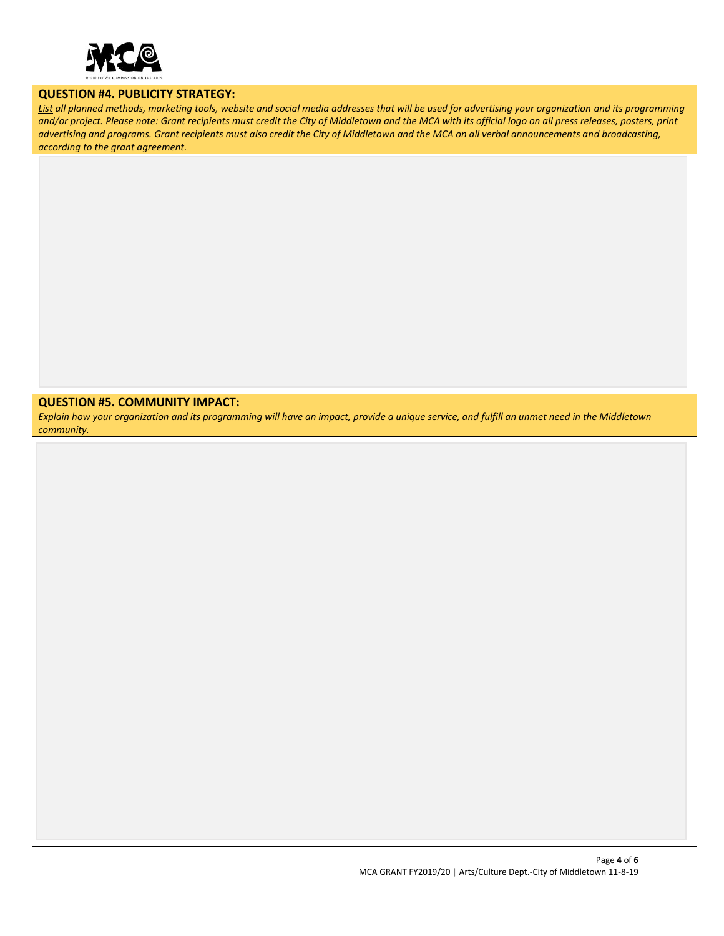

#### **QUESTION #4. PUBLICITY STRATEGY:**

*List all planned methods, marketing tools, website and social media addresses that will be used for advertising your organization and its programming and/or project. Please note: Grant recipients must credit the City of Middletown and the MCA with its official logo on all press releases, posters, print advertising and programs. Grant recipients must also credit the City of Middletown and the MCA on all verbal announcements and broadcasting, according to the grant agreement.*

# **QUESTION #5. COMMUNITY IMPACT:**

*Explain how your organization and its programming will have an impact, provide a unique service, and fulfill an unmet need in the Middletown community.*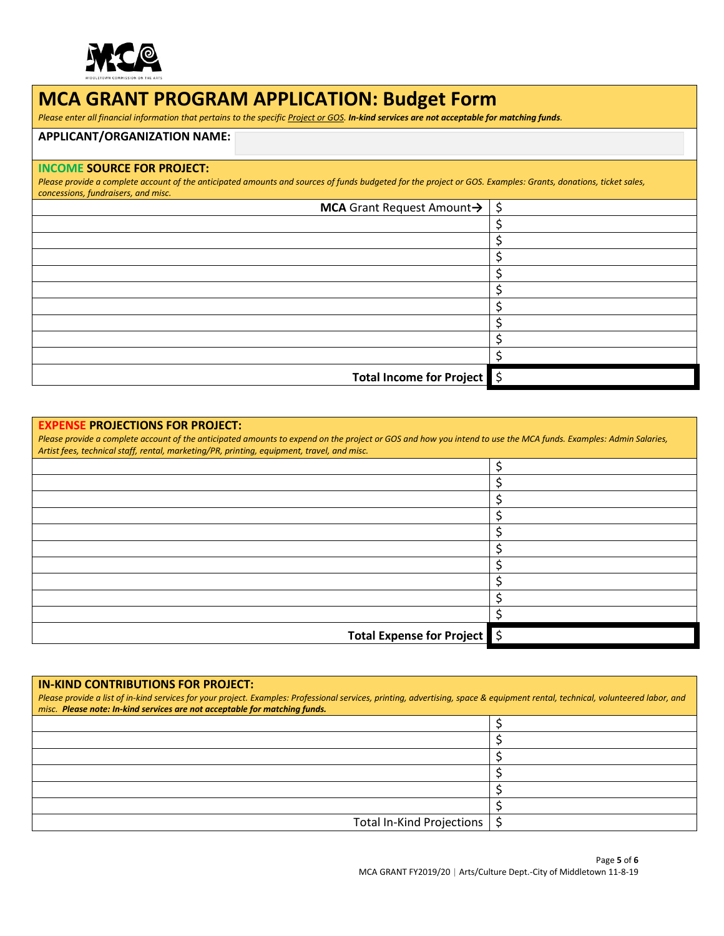

# **MCA GRANT PROGRAM APPLICATION: Budget Form**

*Please enter all financial information that pertains to the specific Project or GOS. In-kind services are not acceptable for matching funds.*

## **APPLICANT/ORGANIZATION NAME:**

#### **INCOME SOURCE FOR PROJECT:**

*Please provide a complete account of the anticipated amounts and sources of funds budgeted for the project or GOS. Examples: Grants, donations, ticket sales, concessions, fundraisers, and misc.*

| <b>MCA</b> Grant Request Amount $\rightarrow$ $\frac{1}{2}$ |  |
|-------------------------------------------------------------|--|
|                                                             |  |
|                                                             |  |
|                                                             |  |
|                                                             |  |
|                                                             |  |
|                                                             |  |
|                                                             |  |
|                                                             |  |
|                                                             |  |
| Total Income for Project \$                                 |  |

#### **EXPENSE PROJECTIONS FOR PROJECT:**

*Please provide a complete account of the anticipated amounts to expend on the project or GOS and how you intend to use the MCA funds. Examples: Admin Salaries, Artist fees, technical staff, rental, marketing/PR, printing, equipment, travel, and misc.*

| Total Expense for Project 5 |  |
|-----------------------------|--|

| <b>IN-KIND CONTRIBUTIONS FOR PROJECT:</b>                                                                                                                                       |  |  |
|---------------------------------------------------------------------------------------------------------------------------------------------------------------------------------|--|--|
| Please provide a list of in-kind services for your project. Examples: Professional services, printing, advertising, space & equipment rental, technical, volunteered labor, and |  |  |
| misc. Please note: In-kind services are not acceptable for matching funds.                                                                                                      |  |  |
|                                                                                                                                                                                 |  |  |
|                                                                                                                                                                                 |  |  |
|                                                                                                                                                                                 |  |  |
|                                                                                                                                                                                 |  |  |
|                                                                                                                                                                                 |  |  |
|                                                                                                                                                                                 |  |  |
| Total In-Kind Projections                                                                                                                                                       |  |  |